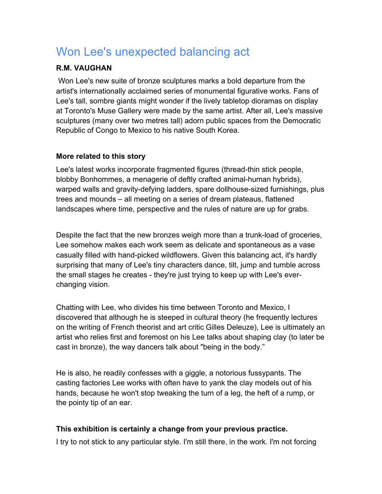# Won Lee's unexpected balancing act

# **R.M. VAUGHAN**

 Won Lee's new suite of bronze sculptures marks a bold departure from the artist's internationally acclaimed series of monumental figurative works. Fans of Lee's tall, sombre giants might wonder if the lively tabletop dioramas on display at Toronto's Muse Gallery were made by the same artist. After all, Lee's massive sculptures (many over two metres tall) adorn public spaces from the Democratic Republic of Congo to Mexico to his native South Korea.

# **More related to this story**

Lee's latest works incorporate fragmented figures (thread-thin stick people, blobby Bonhommes, a menagerie of deftly crafted animal-human hybrids), warped walls and gravity-defying ladders, spare dollhouse-sized furnishings, plus trees and mounds – all meeting on a series of dream plateaus, flattened landscapes where time, perspective and the rules of nature are up for grabs.

Despite the fact that the new bronzes weigh more than a trunk-load of groceries, Lee somehow makes each work seem as delicate and spontaneous as a vase casually filled with hand-picked wildflowers. Given this balancing act, it's hardly surprising that many of Lee's tiny characters dance, tilt, jump and tumble across the small stages he creates - they're just trying to keep up with Lee's everchanging vision.

Chatting with Lee, who divides his time between Toronto and Mexico, I discovered that although he is steeped in cultural theory (he frequently lectures on the writing of French theorist and art critic Gilles Deleuze), Lee is ultimately an artist who relies first and foremost on his Lee talks about shaping clay (to later be cast in bronze), the way dancers talk about "being in the body."

He is also, he readily confesses with a giggle, a notorious fussypants. The casting factories Lee works with often have to yank the clay models out of his hands, because he won't stop tweaking the turn of a leg, the heft of a rump, or the pointy tip of an ear.

# **This exhibition is certainly a change from your previous practice.**

I try to not stick to any particular style. I'm still there, in the work. I'm not forcing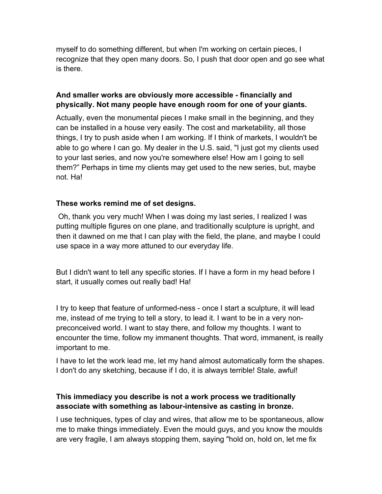myself to do something different, but when I'm working on certain pieces, I recognize that they open many doors. So, I push that door open and go see what is there.

#### **And smaller works are obviously more accessible - financially and physically. Not many people have enough room for one of your giants.**

Actually, even the monumental pieces I make small in the beginning, and they can be installed in a house very easily. The cost and marketability, all those things, I try to push aside when I am working. If I think of markets, I wouldn't be able to go where I can go. My dealer in the U.S. said, "I just got my clients used to your last series, and now you're somewhere else! How am I going to sell them?" Perhaps in time my clients may get used to the new series, but, maybe not. Ha!

# **These works remind me of set designs.**

 Oh, thank you very much! When I was doing my last series, I realized I was putting multiple figures on one plane, and traditionally sculpture is upright, and then it dawned on me that I can play with the field, the plane, and maybe I could use space in a way more attuned to our everyday life.

But I didn't want to tell any specific stories. If I have a form in my head before I start, it usually comes out really bad! Ha!

I try to keep that feature of unformed-ness - once I start a sculpture, it will lead me, instead of me trying to tell a story, to lead it. I want to be in a very nonpreconceived world. I want to stay there, and follow my thoughts. I want to encounter the time, follow my immanent thoughts. That word, immanent, is really important to me.

I have to let the work lead me, let my hand almost automatically form the shapes. I don't do any sketching, because if I do, it is always terrible! Stale, awful!

# **This immediacy you describe is not a work process we traditionally associate with something as labour-intensive as casting in bronze.**

I use techniques, types of clay and wires, that allow me to be spontaneous, allow me to make things immediately. Even the mould guys, and you know the moulds are very fragile, I am always stopping them, saying "hold on, hold on, let me fix